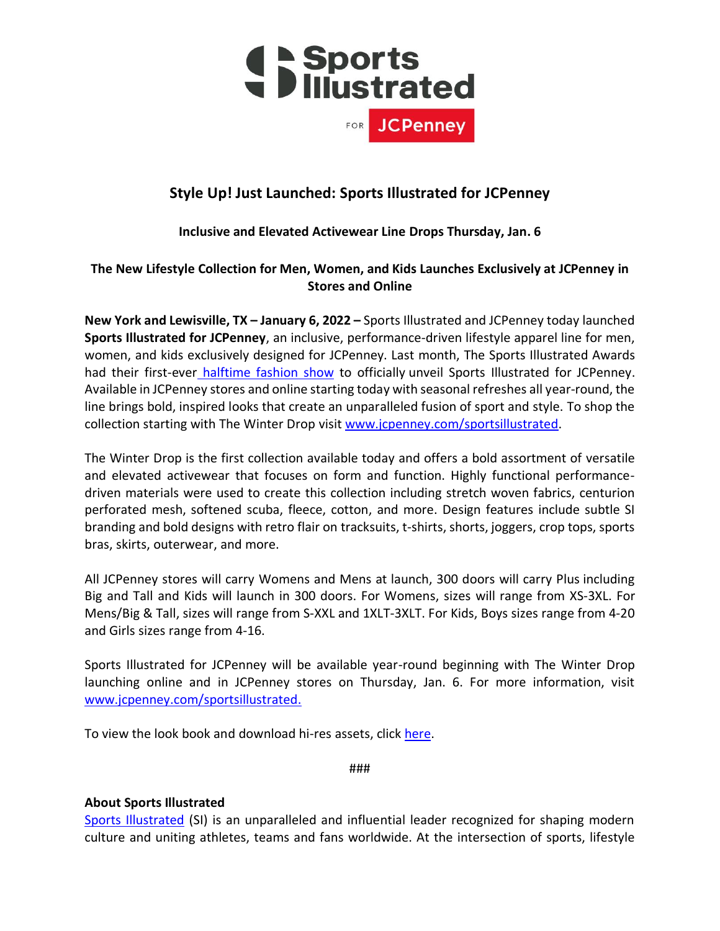

# **Style Up! Just Launched: Sports Illustrated for JCPenney**

## **Inclusive and Elevated Activewear Line Drops Thursday, Jan. 6**

### **The New Lifestyle Collection for Men, Women, and Kids Launches Exclusively at JCPenney in Stores and Online**

**New York and Lewisville, TX – January 6, 2022 –** Sports Illustrated and JCPenney today launched **Sports Illustrated for JCPenney**, an inclusive, performance-driven lifestyle apparel line for men, women, and kids exclusively designed for JCPenney. Last month, The Sports Illustrated Awards had their first-ever [halftime fashion show](https://youtu.be/r-F1ae1NXvM) to officially unveil Sports Illustrated for JCPenney. Available in JCPenney stores and online starting today with seasonal refreshes all year-round, the line brings bold, inspired looks that create an unparalleled fusion of sport and style. To shop the collection starting with The Winter Drop visit [www.jcpenney.com/sportsillustrated.](https://www.jcpenney.com/g/brand?brand=sports+illustrated)

The Winter Drop is the first collection available today and offers a bold assortment of versatile and elevated activewear that focuses on form and function. Highly functional performancedriven materials were used to create this collection including stretch woven fabrics, centurion perforated mesh, softened scuba, fleece, cotton, and more. Design features include subtle SI branding and bold designs with retro flair on tracksuits, t-shirts, shorts, joggers, crop tops, sports bras, skirts, outerwear, and more.

All JCPenney stores will carry Womens and Mens at launch, 300 doors will carry Plus including Big and Tall and Kids will launch in 300 doors. For Womens, sizes will range from XS-3XL. For Mens/Big & Tall, sizes will range from S-XXL and 1XLT-3XLT. For Kids, Boys sizes range from 4-20 and Girls sizes range from 4-16.

Sports Illustrated for JCPenney will be available year-round beginning with The Winter Drop launching online and in JCPenney stores on Thursday, Jan. 6. For more information, visit [www.jcpenney.com/sportsillustrated.](https://www.jcpenney.com/g/brand?brand=sports+illustrated)

To view the look book and download hi-res assets, click [here.](https://drive.google.com/drive/folders/1lcEtjx8MqsvEpZMbrvJWKmB0u2R3fvi2?usp=sharing)

###

### **About Sports Illustrated**

[Sports Illustrated](https://www.si.com/) (SI) is an unparalleled and influential leader recognized for shaping modern culture and uniting athletes, teams and fans worldwide. At the intersection of sports, lifestyle